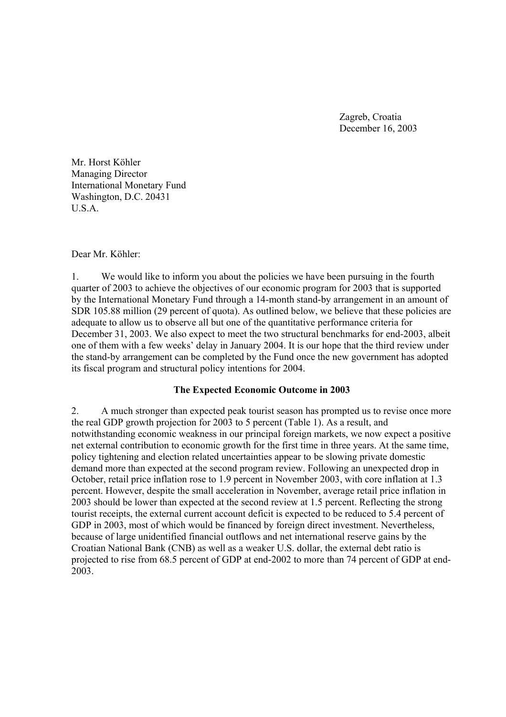Zagreb, Croatia December 16, 2003

Mr. Horst Köhler Managing Director International Monetary Fund Washington, D.C. 20431 U.S.A.

#### Dear Mr. Köhler:

1. We would like to inform you about the policies we have been pursuing in the fourth quarter of 2003 to achieve the objectives of our economic program for 2003 that is supported by the International Monetary Fund through a 14-month stand-by arrangement in an amount of SDR 105.88 million (29 percent of quota). As outlined below, we believe that these policies are adequate to allow us to observe all but one of the quantitative performance criteria for December 31, 2003. We also expect to meet the two structural benchmarks for end-2003, albeit one of them with a few weeks' delay in January 2004. It is our hope that the third review under the stand-by arrangement can be completed by the Fund once the new government has adopted its fiscal program and structural policy intentions for 2004.

### **The Expected Economic Outcome in 2003**

2. A much stronger than expected peak tourist season has prompted us to revise once more the real GDP growth projection for 2003 to 5 percent (Table 1). As a result, and notwithstanding economic weakness in our principal foreign markets, we now expect a positive net external contribution to economic growth for the first time in three years. At the same time, policy tightening and election related uncertainties appear to be slowing private domestic demand more than expected at the second program review. Following an unexpected drop in October, retail price inflation rose to 1.9 percent in November 2003, with core inflation at 1.3 percent. However, despite the small acceleration in November, average retail price inflation in 2003 should be lower than expected at the second review at 1.5 percent. Reflecting the strong tourist receipts, the external current account deficit is expected to be reduced to 5.4 percent of GDP in 2003, most of which would be financed by foreign direct investment. Nevertheless, because of large unidentified financial outflows and net international reserve gains by the Croatian National Bank (CNB) as well as a weaker U.S. dollar, the external debt ratio is projected to rise from 68.5 percent of GDP at end-2002 to more than 74 percent of GDP at end-2003.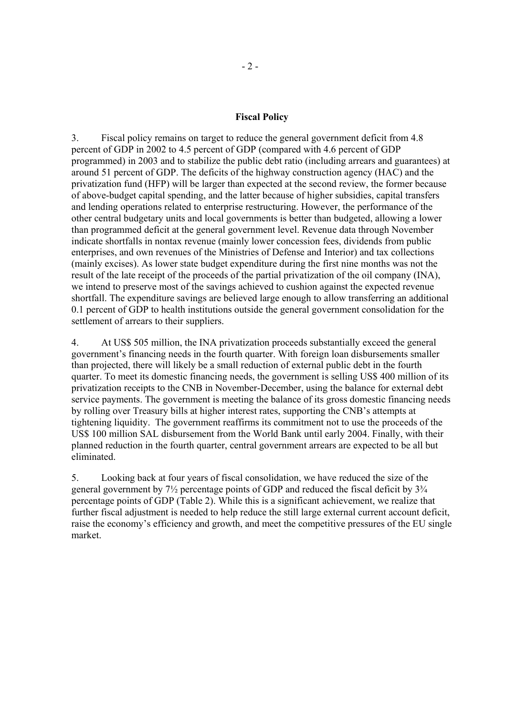#### **Fiscal Policy**

3. Fiscal policy remains on target to reduce the general government deficit from 4.8 percent of GDP in 2002 to 4.5 percent of GDP (compared with 4.6 percent of GDP programmed) in 2003 and to stabilize the public debt ratio (including arrears and guarantees) at around 51 percent of GDP. The deficits of the highway construction agency (HAC) and the privatization fund (HFP) will be larger than expected at the second review, the former because of above-budget capital spending, and the latter because of higher subsidies, capital transfers and lending operations related to enterprise restructuring. However, the performance of the other central budgetary units and local governments is better than budgeted, allowing a lower than programmed deficit at the general government level. Revenue data through November indicate shortfalls in nontax revenue (mainly lower concession fees, dividends from public enterprises, and own revenues of the Ministries of Defense and Interior) and tax collections (mainly excises). As lower state budget expenditure during the first nine months was not the result of the late receipt of the proceeds of the partial privatization of the oil company (INA), we intend to preserve most of the savings achieved to cushion against the expected revenue shortfall. The expenditure savings are believed large enough to allow transferring an additional 0.1 percent of GDP to health institutions outside the general government consolidation for the settlement of arrears to their suppliers.

4. At US\$ 505 million, the INA privatization proceeds substantially exceed the general government's financing needs in the fourth quarter. With foreign loan disbursements smaller than projected, there will likely be a small reduction of external public debt in the fourth quarter. To meet its domestic financing needs, the government is selling US\$ 400 million of its privatization receipts to the CNB in November-December, using the balance for external debt service payments. The government is meeting the balance of its gross domestic financing needs by rolling over Treasury bills at higher interest rates, supporting the CNB's attempts at tightening liquidity. The government reaffirms its commitment not to use the proceeds of the US\$ 100 million SAL disbursement from the World Bank until early 2004. Finally, with their planned reduction in the fourth quarter, central government arrears are expected to be all but eliminated.

5. Looking back at four years of fiscal consolidation, we have reduced the size of the general government by 7½ percentage points of GDP and reduced the fiscal deficit by 3¾ percentage points of GDP (Table 2). While this is a significant achievement, we realize that further fiscal adjustment is needed to help reduce the still large external current account deficit, raise the economy's efficiency and growth, and meet the competitive pressures of the EU single market.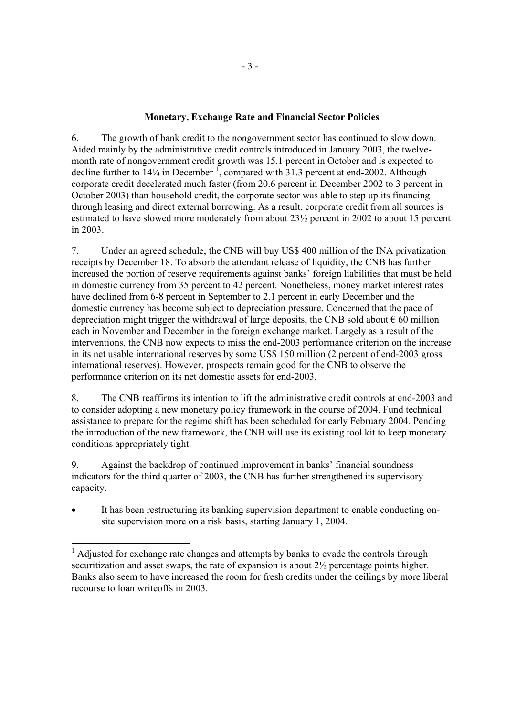## **Monetary, Exchange Rate and Financial Sector Policies**

6. The growth of bank credit to the nongovernment sector has continued to slow down. Aided mainly by the administrative credit controls introduced in January 2003, the twelvemonth rate of nongovernment credit growth was 15.1 percent in October and is expected to decline further to  $14\frac{1}{4}$  in December  $\frac{1}{4}$ , compared with 31.3 percent at end-2002. Although corporate credit decelerated much faster (from 20.6 percent in December 2002 to 3 percent in October 2003) than household credit, the corporate sector was able to step up its financing through leasing and direct external borrowing. As a result, corporate credit from all sources is estimated to have slowed more moderately from about 23½ percent in 2002 to about 15 percent in 2003.

7. Under an agreed schedule, the CNB will buy US\$ 400 million of the INA privatization receipts by December 18. To absorb the attendant release of liquidity, the CNB has further increased the portion of reserve requirements against banks' foreign liabilities that must be held in domestic currency from 35 percent to 42 percent. Nonetheless, money market interest rates have declined from 6-8 percent in September to 2.1 percent in early December and the domestic currency has become subject to depreciation pressure. Concerned that the pace of depreciation might trigger the withdrawal of large deposits, the CNB sold about  $\epsilon$  60 million each in November and December in the foreign exchange market. Largely as a result of the interventions, the CNB now expects to miss the end-2003 performance criterion on the increase in its net usable international reserves by some US\$ 150 million (2 percent of end-2003 gross international reserves). However, prospects remain good for the CNB to observe the performance criterion on its net domestic assets for end-2003.

8. The CNB reaffirms its intention to lift the administrative credit controls at end-2003 and to consider adopting a new monetary policy framework in the course of 2004. Fund technical assistance to prepare for the regime shift has been scheduled for early February 2004. Pending the introduction of the new framework, the CNB will use its existing tool kit to keep monetary conditions appropriately tight.

9. Against the backdrop of continued improvement in banks' financial soundness indicators for the third quarter of 2003, the CNB has further strengthened its supervisory capacity.

It has been restructuring its banking supervision department to enable conducting onsite supervision more on a risk basis, starting January 1, 2004.

<sup>&</sup>lt;sup>1</sup> Adjusted for exchange rate changes and attempts by banks to evade the controls through securitization and asset swaps, the rate of expansion is about 2½ percentage points higher. Banks also seem to have increased the room for fresh credits under the ceilings by more liberal recourse to loan writeoffs in 2003.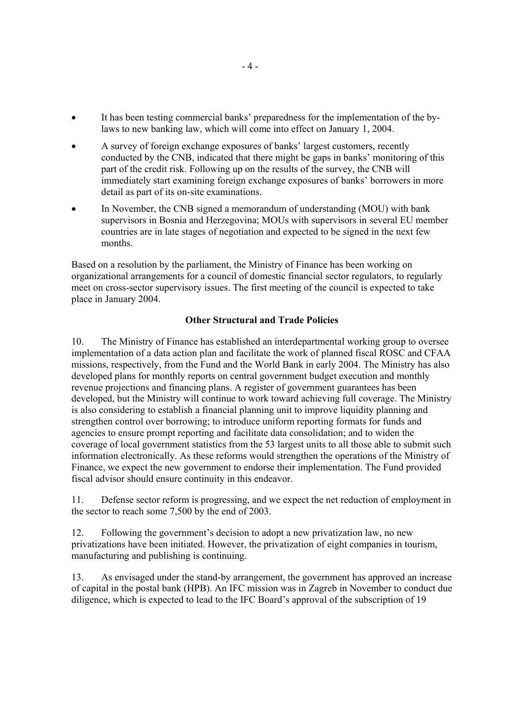- It has been testing commercial banks' preparedness for the implementation of the bylaws to new banking law, which will come into effect on January 1, 2004.
- A survey of foreign exchange exposures of banks' largest customers, recently conducted by the CNB, indicated that there might be gaps in banks' monitoring of this part of the credit risk. Following up on the results of the survey, the CNB will immediately start examining foreign exchange exposures of banks' borrowers in more detail as part of its on-site examinations.
- In November, the CNB signed a memorandum of understanding (MOU) with bank supervisors in Bosnia and Herzegovina; MOUs with supervisors in several EU member countries are in late stages of negotiation and expected to be signed in the next few months.

Based on a resolution by the parliament, the Ministry of Finance has been working on organizational arrangements for a council of domestic financial sector regulators, to regularly meet on cross-sector supervisory issues. The first meeting of the council is expected to take place in January 2004.

# **Other Structural and Trade Policies**

10. The Ministry of Finance has established an interdepartmental working group to oversee implementation of a data action plan and facilitate the work of planned fiscal ROSC and CFAA missions, respectively, from the Fund and the World Bank in early 2004. The Ministry has also developed plans for monthly reports on central government budget execution and monthly revenue projections and financing plans. A register of government guarantees has been developed, but the Ministry will continue to work toward achieving full coverage. The Ministry is also considering to establish a financial planning unit to improve liquidity planning and strengthen control over borrowing; to introduce uniform reporting formats for funds and agencies to ensure prompt reporting and facilitate data consolidation; and to widen the coverage of local government statistics from the 53 largest units to all those able to submit such information electronically. As these reforms would strengthen the operations of the Ministry of Finance, we expect the new government to endorse their implementation. The Fund provided fiscal advisor should ensure continuity in this endeavor.

11. Defense sector reform is progressing, and we expect the net reduction of employment in the sector to reach some 7,500 by the end of 2003.

12. Following the government's decision to adopt a new privatization law, no new privatizations have been initiated. However, the privatization of eight companies in tourism, manufacturing and publishing is continuing.

13. As envisaged under the stand-by arrangement, the government has approved an increase of capital in the postal bank (HPB). An IFC mission was in Zagreb in November to conduct due diligence, which is expected to lead to the IFC Board's approval of the subscription of 19